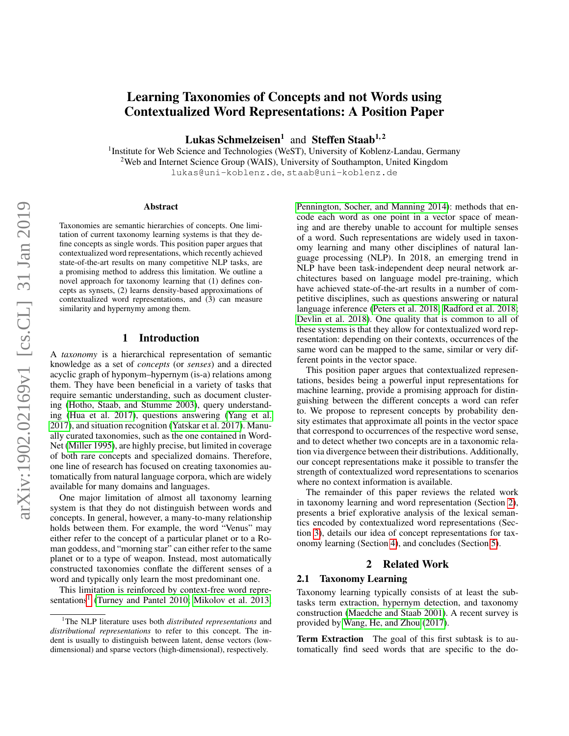# Learning Taxonomies of Concepts and not Words using Contextualized Word Representations: A Position Paper

Lukas Schmelzeisen<sup>1</sup> and Steffen Staab<sup>1,2</sup>

<sup>1</sup>Institute for Web Science and Technologies (WeST), University of Koblenz-Landau, Germany <sup>2</sup>Web and Internet Science Group (WAIS), University of Southampton, United Kingdom lukas@uni-koblenz.de, staab@uni-koblenz.de

#### Abstract

Taxonomies are semantic hierarchies of concepts. One limitation of current taxonomy learning systems is that they define concepts as single words. This position paper argues that contextualized word representations, which recently achieved state-of-the-art results on many competitive NLP tasks, are a promising method to address this limitation. We outline a novel approach for taxonomy learning that (1) defines concepts as synsets, (2) learns density-based approximations of contextualized word representations, and (3) can measure similarity and hypernymy among them.

### 1 Introduction

A *taxonomy* is a hierarchical representation of semantic knowledge as a set of *concepts* (or *senses*) and a directed acyclic graph of hyponym–hypernym (is-a) relations among them. They have been beneficial in a variety of tasks that require semantic understanding, such as document clustering [\(Hotho, Staab, and Stumme 2003\)](#page-4-0), query understanding [\(Hua et al. 2017\)](#page-4-1), questions answering [\(Yang et al.](#page-4-2) [2017\)](#page-4-2), and situation recognition [\(Yatskar et al. 2017\)](#page-4-3). Manually curated taxonomies, such as the one contained in Word-Net [\(Miller 1995\)](#page-4-4), are highly precise, but limited in coverage of both rare concepts and specialized domains. Therefore, one line of research has focused on creating taxonomies automatically from natural language corpora, which are widely available for many domains and languages.

One major limitation of almost all taxonomy learning system is that they do not distinguish between words and concepts. In general, however, a many-to-many relationship holds between them. For example, the word "Venus" may either refer to the concept of a particular planet or to a Roman goddess, and "morning star" can either refer to the same planet or to a type of weapon. Instead, most automatically constructed taxonomies conflate the different senses of a word and typically only learn the most predominant one.

This limitation is reinforced by context-free word repre-sentations<sup>[1](#page-0-0)</sup> [\(Turney and Pantel 2010;](#page-4-5) [Mikolov et al. 2013;](#page-4-6) [Pennington, Socher, and Manning 2014\)](#page-4-7): methods that encode each word as one point in a vector space of meaning and are thereby unable to account for multiple senses of a word. Such representations are widely used in taxonomy learning and many other disciplines of natural language processing (NLP). In 2018, an emerging trend in NLP have been task-independent deep neural network architectures based on language model pre-training, which have achieved state-of-the-art results in a number of competitive disciplines, such as questions answering or natural language inference [\(Peters et al. 2018;](#page-4-8) [Radford et al. 2018;](#page-4-9) [Devlin et al. 2018\)](#page-4-10). One quality that is common to all of these systems is that they allow for contextualized word representation: depending on their contexts, occurrences of the same word can be mapped to the same, similar or very different points in the vector space.

This position paper argues that contextualized representations, besides being a powerful input representations for machine learning, provide a promising approach for distinguishing between the different concepts a word can refer to. We propose to represent concepts by probability density estimates that approximate all points in the vector space that correspond to occurrences of the respective word sense, and to detect whether two concepts are in a taxonomic relation via divergence between their distributions. Additionally, our concept representations make it possible to transfer the strength of contextualized word representations to scenarios where no context information is available.

The remainder of this paper reviews the related work in taxonomy learning and word representation (Section [2\)](#page-0-1), presents a brief explorative analysis of the lexical semantics encoded by contextualized word representations (Section [3\)](#page-2-0), details our idea of concept representations for taxonomy learning (Section [4\)](#page-2-1), and concludes (Section [5\)](#page-3-0).

### 2 Related Work

### <span id="page-0-1"></span>2.1 Taxonomy Learning

Taxonomy learning typically consists of at least the subtasks term extraction, hypernym detection, and taxonomy construction [\(Maedche and Staab 2001\)](#page-4-11). A recent survey is provided by [Wang, He, and Zhou](#page-4-12) [\(2017\)](#page-4-12).

Term Extraction The goal of this first subtask is to automatically find seed words that are specific to the do-

<span id="page-0-0"></span><sup>1</sup>The NLP literature uses both *distributed representations* and *distributional representations* to refer to this concept. The indent is usually to distinguish between latent, dense vectors (lowdimensional) and sparse vectors (high-dimensional), respectively.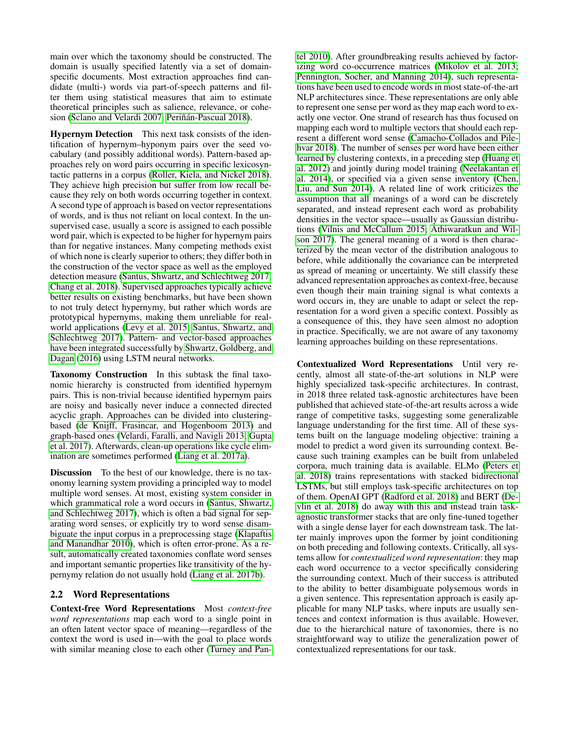main over which the taxonomy should be constructed. The domain is usually specified latently via a set of domainspecific documents. Most extraction approaches find candidate (multi-) words via part-of-speech patterns and filter them using statistical measures that aim to estimate theoretical principles such as salience, relevance, or cohe-sion [\(Sclano and Velardi 2007;](#page-4-13) Periñán-Pascual 2018).

Hypernym Detection This next task consists of the identification of hypernym–hyponym pairs over the seed vocabulary (and possibly additional words). Pattern-based approaches rely on word pairs occurring in specific lexicosyntactic patterns in a corpus [\(Roller, Kiela, and Nickel 2018\)](#page-4-15). They achieve high precision but suffer from low recall because they rely on both words occurring together in context. A second type of approach is based on vector representations of words, and is thus not reliant on local context. In the unsupervised case, usually a score is assigned to each possible word pair, which is expected to be higher for hypernym pairs than for negative instances. Many competing methods exist of which none is clearly superior to others; they differ both in the construction of the vector space as well as the employed detection measure [\(Santus, Shwartz, and Schlechtweg 2017;](#page-4-16) [Chang et al. 2018\)](#page-4-17). Supervised approaches typically achieve better results on existing benchmarks, but have been shown to not truly detect hypernymy, but rather which words are prototypical hypernyms, making them unreliable for realworld applications [\(Levy et al. 2015;](#page-4-18) [Santus, Shwartz, and](#page-4-16) [Schlechtweg 2017\)](#page-4-16). Pattern- and vector-based approaches have been integrated successfully by [Shwartz, Goldberg, and](#page-4-19) [Dagan](#page-4-19) [\(2016\)](#page-4-19) using LSTM neural networks.

Taxonomy Construction In this subtask the final taxonomic hierarchy is constructed from identified hypernym pairs. This is non-trivial because identified hypernym pairs are noisy and basically never induce a connected directed acyclic graph. Approaches can be divided into clusteringbased [\(de Knijff, Frasincar, and Hogenboom 2013\)](#page-4-20) and graph-based ones [\(Velardi, Faralli, and Navigli 2013;](#page-4-21) [Gupta](#page-4-22) [et al. 2017\)](#page-4-22). Afterwards, clean-up operations like cycle elimination are sometimes performed [\(Liang et al. 2017a\)](#page-4-23).

Discussion To the best of our knowledge, there is no taxonomy learning system providing a principled way to model multiple word senses. At most, existing system consider in which grammatical role a word occurs in [\(Santus, Shwartz,](#page-4-16) [and Schlechtweg 2017\)](#page-4-16), which is often a bad signal for separating word senses, or explicitly try to word sense disambiguate the input corpus in a preprocessing stage [\(Klapaftis](#page-4-24) [and Manandhar 2010\)](#page-4-24), which is often error-prone. As a result, automatically created taxonomies conflate word senses and important semantic properties like transitivity of the hypernymy relation do not usually hold [\(Liang et al. 2017b\)](#page-4-25).

### 2.2 Word Representations

Context-free Word Representations Most *context-free word representations* map each word to a single point in an often latent vector space of meaning—regardless of the context the word is used in—with the goal to place words with similar meaning close to each other [\(Turney and Pan-](#page-4-5)

[tel 2010\)](#page-4-5). After groundbreaking results achieved by factorizing word co-occurrence matrices [\(Mikolov et al. 2013;](#page-4-6) [Pennington, Socher, and Manning 2014\)](#page-4-7), such representations have been used to encode words in most state-of-the-art NLP architectures since. These representations are only able to represent one sense per word as they map each word to exactly one vector. One strand of research has thus focused on mapping each word to multiple vectors that should each represent a different word sense [\(Camacho-Collados and Pile](#page-4-26)[hvar 2018\)](#page-4-26). The number of senses per word have been either learned by clustering contexts, in a preceding step [\(Huang et](#page-4-27) [al. 2012\)](#page-4-27) and jointly during model training [\(Neelakantan et](#page-4-28) [al. 2014\)](#page-4-28), or specified via a given sense inventory [\(Chen,](#page-4-29) [Liu, and Sun 2014\)](#page-4-29). A related line of work criticizes the assumption that all meanings of a word can be discretely separated, and instead represent each word as probability densities in the vector space—usually as Gaussian distributions [\(Vilnis and McCallum 2015;](#page-4-30) [Athiwaratkun and Wil](#page-4-31)[son 2017\)](#page-4-31). The general meaning of a word is then characterized by the mean vector of the distribution analogous to before, while additionally the covariance can be interpreted as spread of meaning or uncertainty. We still classify these advanced representation approaches as context-free, because even though their main training signal is what contexts a word occurs in, they are unable to adapt or select the representation for a word given a specific context. Possibly as a consequence of this, they have seen almost no adoption in practice. Specifically, we are not aware of any taxonomy learning approaches building on these representations.

Contextualized Word Representations Until very recently, almost all state-of-the-art solutions in NLP were highly specialized task-specific architectures. In contrast, in 2018 three related task-agnostic architectures have been published that achieved state-of-the-art results across a wide range of competitive tasks, suggesting some generalizable language understanding for the first time. All of these systems built on the language modeling objective: training a model to predict a word given its surrounding context. Because such training examples can be built from unlabeled corpora, much training data is available. ELMo [\(Peters et](#page-4-8) [al. 2018\)](#page-4-8) trains representations with stacked bidirectional LSTMs, but still employs task-specific architectures on top of them. OpenAI GPT [\(Radford et al. 2018\)](#page-4-9) and BERT [\(De](#page-4-10)[vlin et al. 2018\)](#page-4-10) do away with this and instead train taskagnostic transformer stacks that are only fine-tuned together with a single dense layer for each downstream task. The latter mainly improves upon the former by joint conditioning on both preceding and following contexts. Critically, all systems allow for *contextualized word representation*: they map each word occurrence to a vector specifically considering the surrounding context. Much of their success is attributed to the ability to better disambiguate polysemous words in a given sentence. This representation approach is easily applicable for many NLP tasks, where inputs are usually sentences and context information is thus available. However, due to the hierarchical nature of taxonomies, there is no straightforward way to utilize the generalization power of contextualized representations for our task.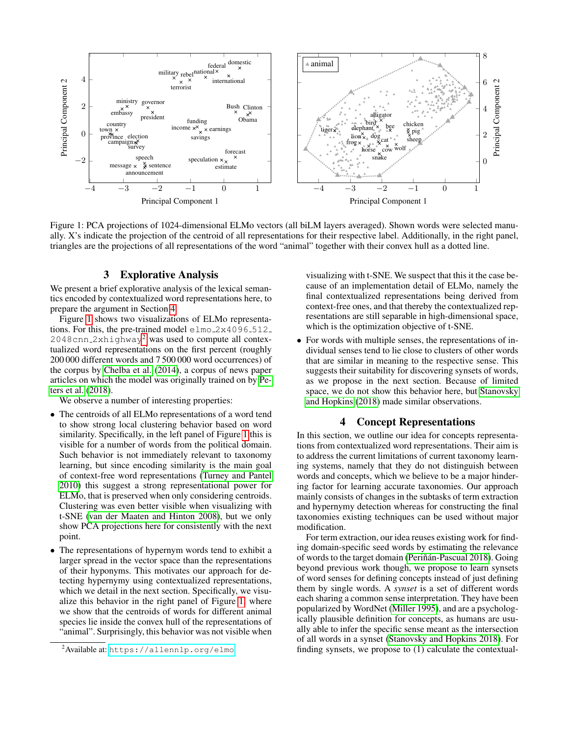

<span id="page-2-2"></span>Figure 1: PCA projections of 1024-dimensional ELMo vectors (all biLM layers averaged). Shown words were selected manually. X's indicate the projection of the centroid of all representations for their respective label. Additionally, in the right panel, triangles are the projections of all representations of the word "animal" together with their convex hull as a dotted line.

## 3 Explorative Analysis

<span id="page-2-0"></span>We present a brief explorative analysis of the lexical semantics encoded by contextualized word representations here, to prepare the argument in Section [4.](#page-2-1)

Figure [1](#page-2-2) shows two visualizations of ELMo representations. For this, the pre-trained model  $e$ lmo $_2$ x4096 $_5$ 12 $_5$  $2048$  $2048$ cnn  $2x$ highway<sup>2</sup> was used to compute all contextualized word representations on the first percent (roughly 200 000 different words and 7 500 000 word occurrences) of the corpus by [Chelba et al.](#page-4-32) [\(2014\)](#page-4-32), a corpus of news paper articles on which the model was originally trained on by [Pe](#page-4-8)[ters et al.](#page-4-8) [\(2018\)](#page-4-8).

We observe a number of interesting properties:

- The centroids of all ELMo representations of a word tend to show strong local clustering behavior based on word similarity. Specifically, in the left panel of Figure [1](#page-2-2) this is visible for a number of words from the political domain. Such behavior is not immediately relevant to taxonomy learning, but since encoding similarity is the main goal of context-free word representations [\(Turney and Pantel](#page-4-5) [2010\)](#page-4-5) this suggest a strong representational power for ELMo, that is preserved when only considering centroids. Clustering was even better visible when visualizing with t-SNE [\(van der Maaten and Hinton 2008\)](#page-4-33), but we only show PCA projections here for consistently with the next point.
- The representations of hypernym words tend to exhibit a larger spread in the vector space than the representations of their hyponyms. This motivates our approach for detecting hypernymy using contextualized representations, which we detail in the next section. Specifically, we visualize this behavior in the right panel of Figure [1,](#page-2-2) where we show that the centroids of words for different animal species lie inside the convex hull of the representations of "animal". Surprisingly, this behavior was not visible when

visualizing with t-SNE. We suspect that this it the case because of an implementation detail of ELMo, namely the final contextualized representations being derived from context-free ones, and that thereby the contextualized representations are still separable in high-dimensional space, which is the optimization objective of t-SNE.

• For words with multiple senses, the representations of individual senses tend to lie close to clusters of other words that are similar in meaning to the respective sense. This suggests their suitability for discovering synsets of words, as we propose in the next section. Because of limited space, we do not show this behavior here, but [Stanovsky](#page-4-34) [and Hopkins](#page-4-34) [\(2018\)](#page-4-34) made similar observations.

### 4 Concept Representations

<span id="page-2-1"></span>In this section, we outline our idea for concepts representations from contextualized word representations. Their aim is to address the current limitations of current taxonomy learning systems, namely that they do not distinguish between words and concepts, which we believe to be a major hindering factor for learning accurate taxonomies. Our approach mainly consists of changes in the subtasks of term extraction and hypernymy detection whereas for constructing the final taxonomies existing techniques can be used without major modification.

For term extraction, our idea reuses existing work for finding domain-specific seed words by estimating the relevance of words to the target domain (Periñán-Pascual 2018). Going beyond previous work though, we propose to learn synsets of word senses for defining concepts instead of just defining them by single words. A *synset* is a set of different words each sharing a common sense interpretation. They have been popularized by WordNet [\(Miller 1995\)](#page-4-4), and are a psychologically plausible definition for concepts, as humans are usually able to infer the specific sense meant as the intersection of all words in a synset [\(Stanovsky and Hopkins 2018\)](#page-4-34). For finding synsets, we propose to (1) calculate the contextual-

<span id="page-2-3"></span><sup>2</sup>Available at: <https://allennlp.org/elmo>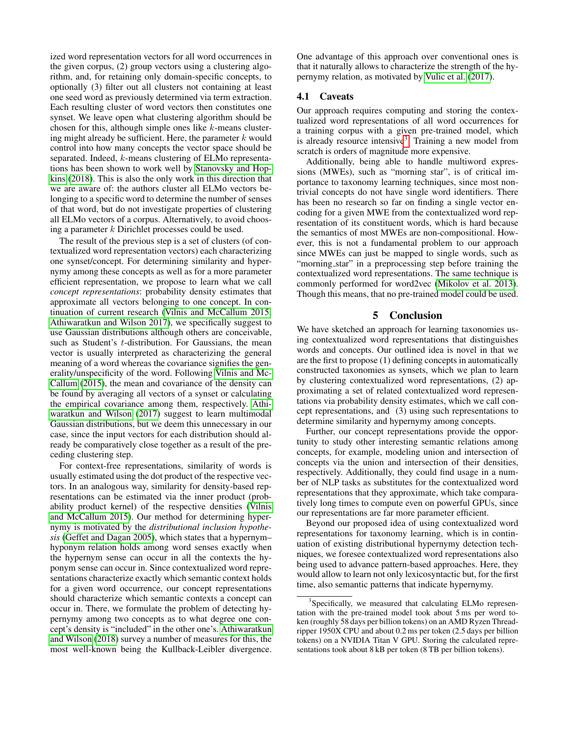ized word representation vectors for all word occurrences in the given corpus, (2) group vectors using a clustering algorithm, and, for retaining only domain-specific concepts, to optionally (3) filter out all clusters not containing at least one seed word as previously determined via term extraction. Each resulting cluster of word vectors then constitutes one synset. We leave open what clustering algorithm should be chosen for this, although simple ones like  $k$ -means clustering might already be sufficient. Here, the parameter  $k$  would control into how many concepts the vector space should be separated. Indeed, k-means clustering of ELMo representations has been shown to work well by [Stanovsky and Hop](#page-4-34)[kins](#page-4-34) [\(2018\)](#page-4-34). This is also the only work in this direction that we are aware of: the authors cluster all ELMo vectors belonging to a specific word to determine the number of senses of that word, but do not investigate properties of clustering all ELMo vectors of a corpus. Alternatively, to avoid choosing a parameter k Dirichlet processes could be used.

The result of the previous step is a set of clusters (of contextualized word representation vectors) each characterizing one synset/concept. For determining similarity and hypernymy among these concepts as well as for a more parameter efficient representation, we propose to learn what we call *concept representations*: probability density estimates that approximate all vectors belonging to one concept. In continuation of current research [\(Vilnis and McCallum 2015;](#page-4-30) [Athiwaratkun and Wilson 2017\)](#page-4-31), we specifically suggest to use Gaussian distributions although others are conceivable, such as Student's *t*-distribution. For Gaussians, the mean vector is usually interpreted as characterizing the general meaning of a word whereas the covariance signifies the generality/unspecificity of the word. Following [Vilnis and Mc-](#page-4-30)[Callum](#page-4-30) [\(2015\)](#page-4-30), the mean and covariance of the density can be found by averaging all vectors of a synset or calculating the empirical covariance among them, respectively. [Athi](#page-4-31)[waratkun and Wilson](#page-4-31) [\(2017\)](#page-4-31) suggest to learn multimodal Gaussian distributions, but we deem this unnecessary in our case, since the input vectors for each distribution should already be comparatively close together as a result of the preceding clustering step.

For context-free representations, similarity of words is usually estimated using the dot product of the respective vectors. In an analogous way, similarity for density-based representations can be estimated via the inner product (probability product kernel) of the respective densities [\(Vilnis](#page-4-30) [and McCallum 2015\)](#page-4-30). Our method for determining hypernymy is motivated by the *distributional inclusion hypothesis* [\(Geffet and Dagan 2005\)](#page-4-35), which states that a hypernym– hyponym relation holds among word senses exactly when the hypernym sense can occur in all the contexts the hyponym sense can occur in. Since contextualized word representations characterize exactly which semantic context holds for a given word occurrence, our concept representations should characterize which semantic contexts a concept can occur in. There, we formulate the problem of detecting hypernymy among two concepts as to what degree one concept's density is "included" in the other one's. [Athiwaratkun](#page-4-36) [and Wilson](#page-4-36) [\(2018\)](#page-4-36) survey a number of measures for this, the most well-known being the Kullback-Leibler divergence.

One advantage of this approach over conventional ones is that it naturally allows to characterize the strength of the hypernymy relation, as motivated by [Vulic et al.](#page-4-37) [\(2017\)](#page-4-37).

### 4.1 Caveats

Our approach requires computing and storing the contextualized word representations of all word occurrences for a training corpus with a given pre-trained model, which is already resource intensive<sup>[3](#page-3-1)</sup>. Training a new model from scratch is orders of magnitude more expensive.

Additionally, being able to handle multiword expressions (MWEs), such as "morning star", is of critical importance to taxonomy learning techniques, since most nontrivial concepts do not have single word identifiers. There has been no research so far on finding a single vector encoding for a given MWE from the contextualized word representation of its constituent words, which is hard because the semantics of most MWEs are non-compositional. However, this is not a fundamental problem to our approach since MWEs can just be mapped to single words, such as "morning star" in a preprocessing step before training the contextualized word representations. The same technique is commonly performed for word2vec [\(Mikolov et al. 2013\)](#page-4-6). Though this means, that no pre-trained model could be used.

### 5 Conclusion

<span id="page-3-0"></span>We have sketched an approach for learning taxonomies using contextualized word representations that distinguishes words and concepts. Our outlined idea is novel in that we are the first to propose (1) defining concepts in automatically constructed taxonomies as synsets, which we plan to learn by clustering contextualized word representations, (2) approximating a set of related contextualized word representations via probability density estimates, which we call concept representations, and (3) using such representations to determine similarity and hypernymy among concepts.

Further, our concept representations provide the opportunity to study other interesting semantic relations among concepts, for example, modeling union and intersection of concepts via the union and intersection of their densities, respectively. Additionally, they could find usage in a number of NLP tasks as substitutes for the contextualized word representations that they approximate, which take comparatively long times to compute even on powerful GPUs, since our representations are far more parameter efficient.

Beyond our proposed idea of using contextualized word representations for taxonomy learning, which is in continuation of existing distributional hypernymy detection techniques, we foresee contextualized word representations also being used to advance pattern-based approaches. Here, they would allow to learn not only lexicosyntactic but, for the first time, also semantic patterns that indicate hypernymy.

<span id="page-3-1"></span><sup>&</sup>lt;sup>3</sup>Specifically, we measured that calculating ELMo representation with the pre-trained model took about 5 ms per word token (roughly 58 days per billion tokens) on an AMD Ryzen Threadripper 1950X CPU and about 0.2 ms per token (2.5 days per billion tokens) on a NVIDIA Titan V GPU. Storing the calculated representations took about 8 kB per token (8 TB per billion tokens).